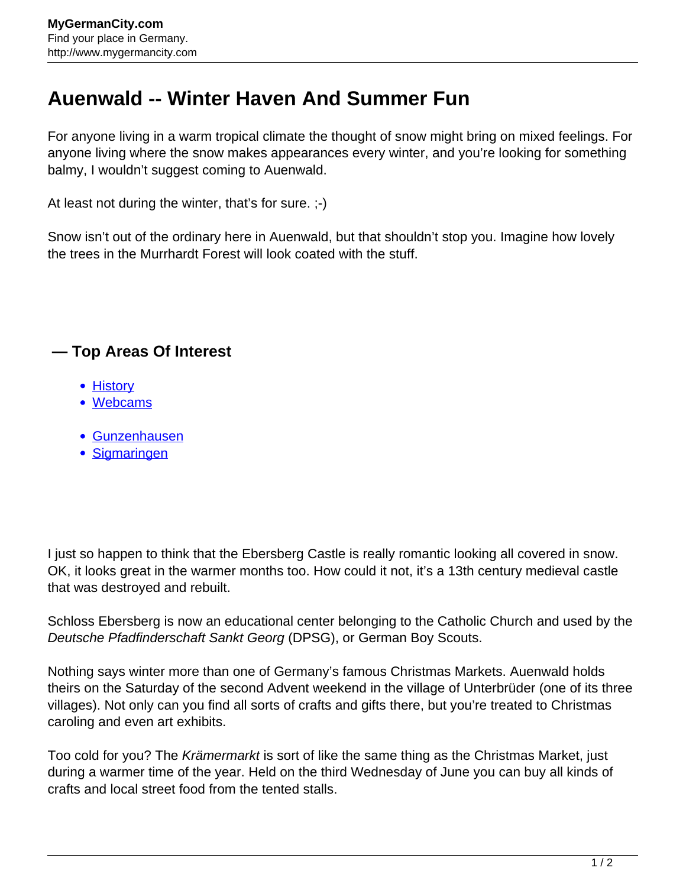## **Auenwald -- Winter Haven And Summer Fun**

For anyone living in a warm tropical climate the thought of snow might bring on mixed feelings. For anyone living where the snow makes appearances every winter, and you're looking for something balmy, I wouldn't suggest coming to Auenwald.

At least not during the winter, that's for sure. ;-)

Snow isn't out of the ordinary here in Auenwald, but that shouldn't stop you. Imagine how lovely the trees in the Murrhardt Forest will look coated with the stuff.

## **— Top Areas Of Interest**

- **[History](http://www.mygermancity.com/leipzig-history)**
- [Webcams](http://www.mygermancity.com/neustadt-holstein-webcams)
- [Gunzenhausen](http://www.mygermancity.com/gunzenhausen)
- [Sigmaringen](http://www.mygermancity.com/sigmaringen)

I just so happen to think that the Ebersberg Castle is really romantic looking all covered in snow. OK, it looks great in the warmer months too. How could it not, it's a 13th century medieval castle that was destroyed and rebuilt.

Schloss Ebersberg is now an educational center belonging to the Catholic Church and used by the Deutsche Pfadfinderschaft Sankt Georg (DPSG), or German Boy Scouts.

Nothing says winter more than one of Germany's famous Christmas Markets. Auenwald holds theirs on the Saturday of the second Advent weekend in the village of Unterbrüder (one of its three villages). Not only can you find all sorts of crafts and gifts there, but you're treated to Christmas caroling and even art exhibits.

Too cold for you? The Krämermarkt is sort of like the same thing as the Christmas Market, just during a warmer time of the year. Held on the third Wednesday of June you can buy all kinds of crafts and local street food from the tented stalls.